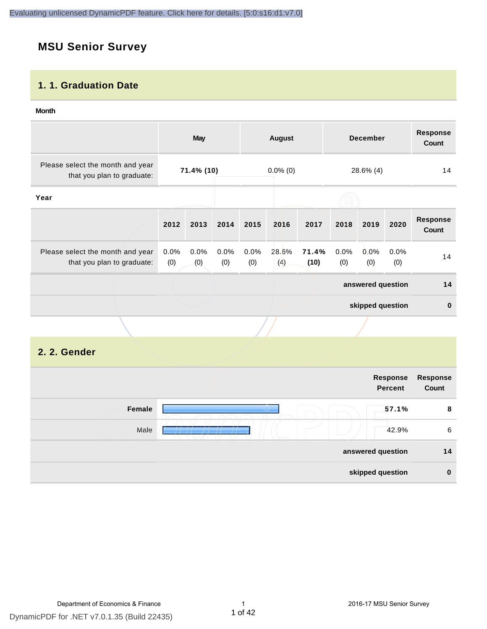# **MSU Senior Survey**

#### **1. 1. Graduation Date**

#### **Month**

|                                                                |                | <b>May</b>  |             |             | <b>August</b> |               |             | <b>December</b>   |             | <b>Response</b><br>Count        |
|----------------------------------------------------------------|----------------|-------------|-------------|-------------|---------------|---------------|-------------|-------------------|-------------|---------------------------------|
| Please select the month and year<br>that you plan to graduate: |                | 71.4% (10)  |             |             | $0.0\%$ (0)   |               |             | 28.6% (4)         |             | 14                              |
| Year                                                           |                |             |             |             |               |               |             |                   |             |                                 |
|                                                                | 2012           | 2013        | 2014        | 2015        | 2016          | 2017          | 2018        | 2019              | 2020        | <b>Response</b><br><b>Count</b> |
| Please select the month and year<br>that you plan to graduate: | $0.0\%$<br>(0) | 0.0%<br>(0) | 0.0%<br>(0) | 0.0%<br>(0) | 28.6%<br>(4)  | 71.4%<br>(10) | 0.0%<br>(0) | 0.0%<br>(0)       | 0.0%<br>(0) | 14                              |
|                                                                |                |             |             |             |               |               |             | answered question |             | 14                              |
|                                                                |                |             |             |             |               |               |             | skipped question  |             | $\mathbf 0$                     |
|                                                                |                |             |             |             |               |               |             |                   |             |                                 |

#### **2. 2. Gender**

|        | Response<br><b>Percent</b> | Response<br>Count |
|--------|----------------------------|-------------------|
| Female | 57.1%                      | 8                 |
| Male   | 42.9%                      | 6                 |
|        | answered question          | 14                |
|        | skipped question           | $\bf{0}$          |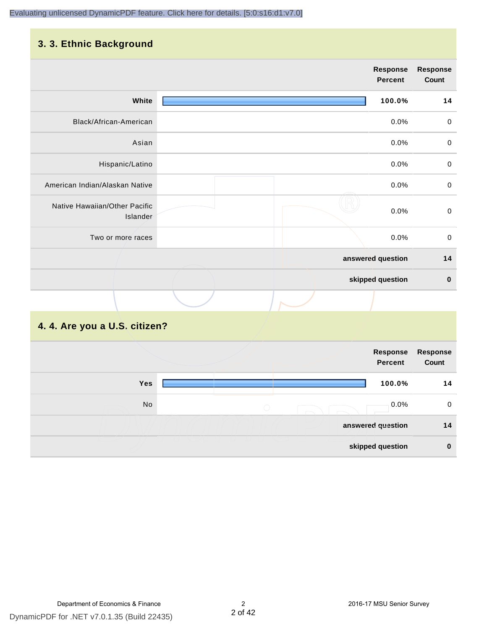## **3. 3. Ethnic Background**

|                                           | <b>Response</b><br>Percent | <b>Response</b><br>Count |
|-------------------------------------------|----------------------------|--------------------------|
| White                                     | 100.0%                     | 14                       |
| Black/African-American                    | 0.0%                       | 0                        |
| Asian                                     | 0.0%                       | $\pmb{0}$                |
| Hispanic/Latino                           | 0.0%                       | $\pmb{0}$                |
| American Indian/Alaskan Native            | 0.0%                       | $\mathbf 0$              |
| Native Hawaiian/Other Pacific<br>Islander | 0.0%                       | $\mathbf 0$              |
| Two or more races                         | 0.0%                       | $\mathsf{O}$             |
|                                           | answered question          | 14                       |
|                                           | skipped question           | $\pmb{0}$                |
|                                           |                            |                          |

# **4. 4. Are you a U.S. citizen?**

|     | Response<br><b>Percent</b> | <b>Response</b><br>Count |
|-----|----------------------------|--------------------------|
| Yes | 100.0%                     | 14                       |
| No  | 0.0%<br>$\bigcirc$         | $\mathbf 0$              |
|     | answered question          | 14                       |
|     | skipped question           | $\bf{0}$                 |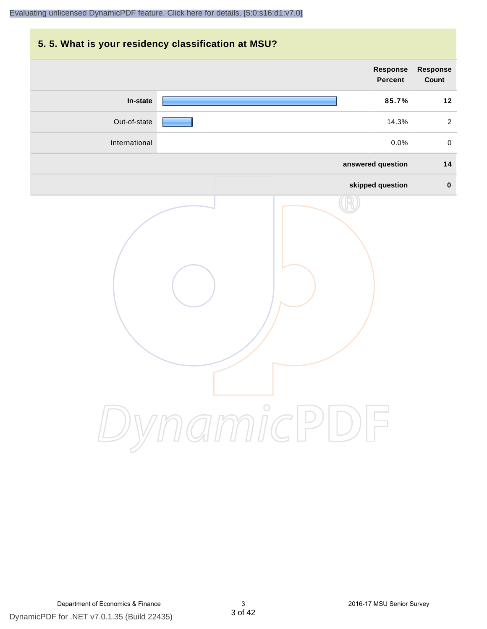# **5. 5. What is your residency classification at MSU? Response Response Percent Count In-state 85.7% 12** Out-of-state 14.3% 2 International 0.0% 0 **answered question 14 skipped question 0** DynamicPDF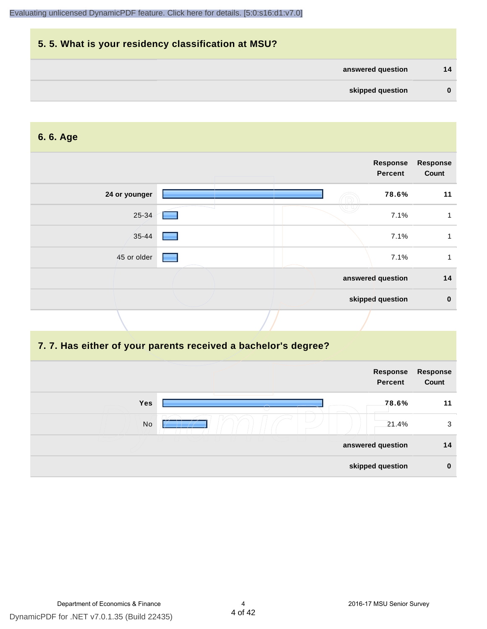# **5. 5. What is your residency classification at MSU? answered question 14 skipped question 0**

#### **6. 6. Age**

|               | Response<br><b>Percent</b> | <b>Response</b><br>Count |
|---------------|----------------------------|--------------------------|
| 24 or younger | 78.6%                      | 11                       |
| 25-34         | 7.1%                       |                          |
| 35-44         | 7.1%                       |                          |
| 45 or older   | 7.1%                       |                          |
|               | answered question          | 14                       |
|               | skipped question           | $\mathbf 0$              |

#### **7. 7. Has either of your parents received a bachelor's degree?**

|     | Response<br>Percent | Response<br>Count |
|-----|---------------------|-------------------|
| Yes | 78.6%               | 11                |
| No  | 21.4%               | 3                 |
|     | answered question   | 14                |
|     | skipped question    | $\bf{0}$          |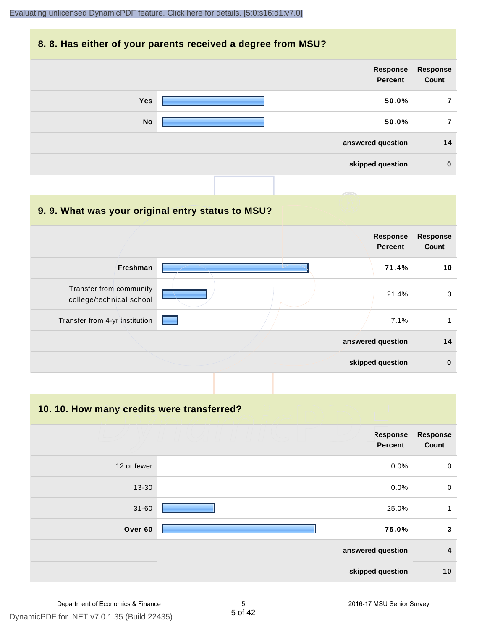#### **8. 8. Has either of your parents received a degree from MSU?**

| Response<br>Percent | <b>Response</b><br>Count |
|---------------------|--------------------------|
| <b>Yes</b><br>50.0% | 7                        |
| <b>No</b><br>50.0%  | 7                        |
| answered question   | 14                       |
| skipped question    | $\bf{0}$                 |

| 9.9. What was your original entry status to MSU?    |                                   |                          |
|-----------------------------------------------------|-----------------------------------|--------------------------|
|                                                     | <b>Response</b><br><b>Percent</b> | <b>Response</b><br>Count |
| <b>Freshman</b>                                     | 71.4%                             | 10                       |
| Transfer from community<br>college/technical school | 21.4%                             | 3                        |
| Transfer from 4-yr institution                      | 7.1%                              | 1                        |
|                                                     | answered question                 | 14                       |
|                                                     | skipped question                  | $\bf{0}$                 |

**10. 10. How many credits were transferred?**

|             | Response<br><b>Percent</b> | <b>Response</b><br>Count |
|-------------|----------------------------|--------------------------|
| 12 or fewer | 0.0%                       | $\mathbf 0$              |
| 13-30       | 0.0%                       | $\mathbf 0$              |
| $31 - 60$   | 25.0%                      | 1                        |
| Over 60     | 75.0%                      | 3                        |
|             | answered question          | $\boldsymbol{4}$         |
|             | skipped question           | 10                       |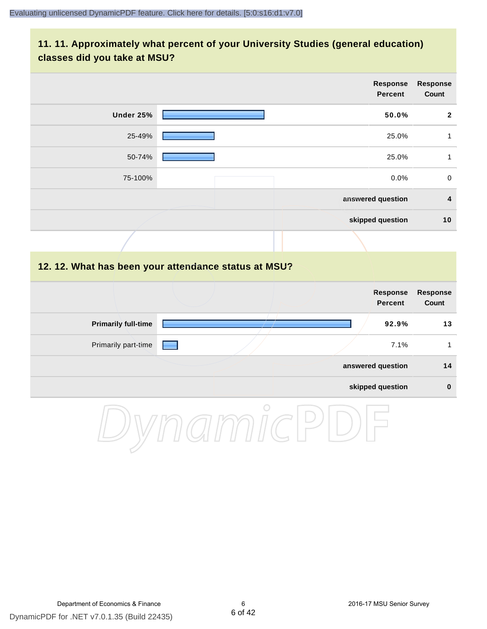#### **11. 11. Approximately what percent of your University Studies (general education) classes did you take at MSU?**

|                                                      |            | Response<br><b>Percent</b>        | <b>Response</b><br>Count |
|------------------------------------------------------|------------|-----------------------------------|--------------------------|
| <b>Under 25%</b>                                     |            | 50.0%                             | $\mathbf{2}$             |
| 25-49%                                               |            | 25.0%                             | $\mathbf{1}$             |
| 50-74%                                               |            | 25.0%                             | $\mathbf{1}$             |
| 75-100%                                              |            | 0.0%                              | $\mathbf 0$              |
|                                                      |            | answered question                 | $\overline{4}$           |
|                                                      |            | skipped question                  | 10                       |
|                                                      |            |                                   |                          |
| 12. 12. What has been your attendance status at MSU? |            |                                   |                          |
|                                                      |            | <b>Response</b><br><b>Percent</b> | <b>Response</b><br>Count |
| <b>Primarily full-time</b>                           |            | 92.9%                             | 13                       |
| Primarily part-time                                  |            | 7.1%                              | $\mathbf{1}$             |
|                                                      |            | answered question                 | 14                       |
|                                                      |            | skipped question                  | $\pmb{0}$                |
|                                                      | $\bigcirc$ |                                   |                          |

DynamicPDF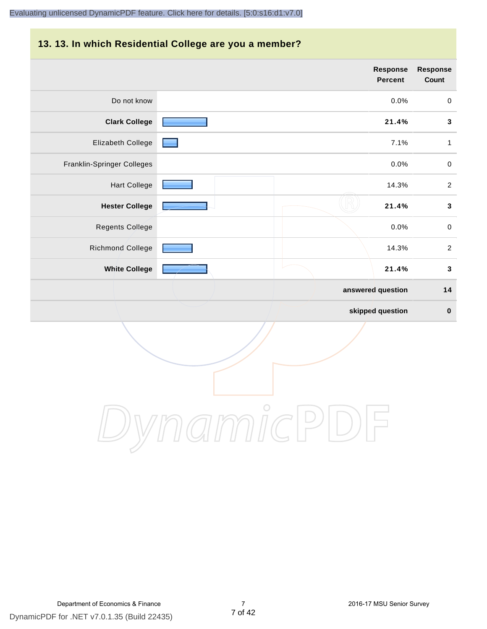# **13. 13. In which Residential College are you a member?**

|                            | Response<br><b>Percent</b> | <b>Response</b><br>Count |
|----------------------------|----------------------------|--------------------------|
| Do not know                | 0.0%                       | $\pmb{0}$                |
| <b>Clark College</b>       | 21.4%                      | $\mathbf 3$              |
| Elizabeth College          | 7.1%                       | $\mathbf{1}$             |
| Franklin-Springer Colleges | 0.0%                       | $\pmb{0}$                |
| <b>Hart College</b>        | 14.3%                      | $\overline{2}$           |
| <b>Hester College</b>      | 21.4%                      | $\mathbf{3}$             |
| Regents College            | 0.0%                       | $\mathbf 0$              |
| Richmond College           | 14.3%                      | $\overline{2}$           |
| <b>White College</b>       | 21.4%                      | $\mathbf{3}$             |
|                            | answered question          | 14                       |
|                            | skipped question           | $\bf{0}$                 |

DynamicPDF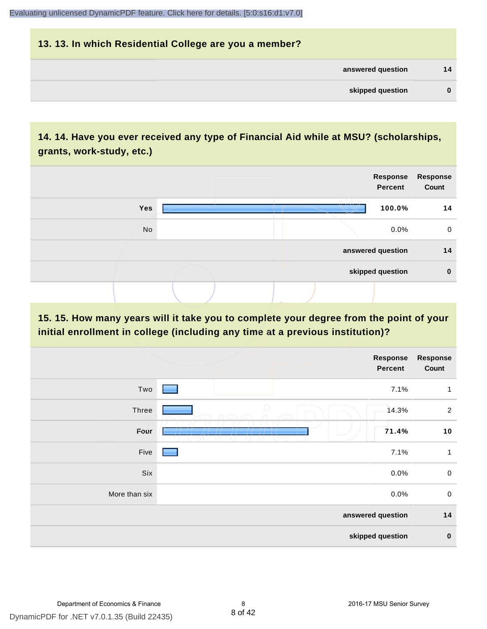# **13. 13. In which Residential College are you a member? answered question 14 skipped question 0**

#### **14. 14. Have you ever received any type of Financial Aid while at MSU? (scholarships, grants, work-study, etc.)**



**15. 15. How many years will it take you to complete your degree from the point of your initial enrollment in college (including any time at a previous institution)?**

|               | Response<br>Percent | Response<br>Count       |
|---------------|---------------------|-------------------------|
| Two           |                     | 7.1%<br>$\mathbf{1}$    |
| Three         | $\bigcirc$          | 14.3%<br>$\overline{2}$ |
| Four          |                     | 71.4%<br>10             |
| Five          |                     | 7.1%<br>1               |
| Six           |                     | $\pmb{0}$<br>0.0%       |
| More than six |                     | 0.0%<br>$\mathbf 0$     |
|               | answered question   | 14                      |
|               | skipped question    | $\pmb{0}$               |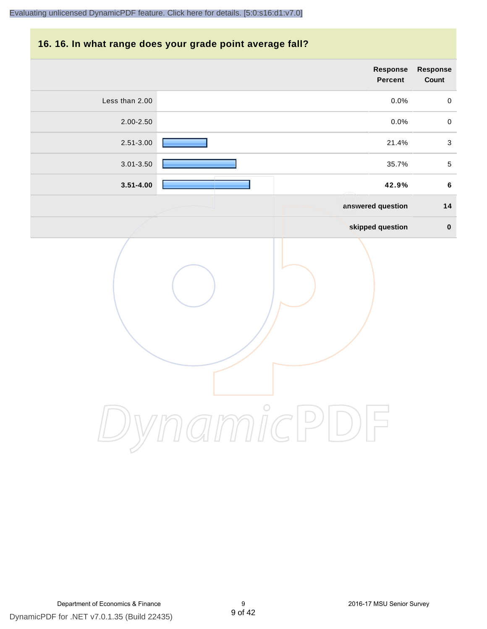#### **16. 16. In what range does your grade point average fall?**

|                | Response<br>Percent | Response<br>Count |
|----------------|---------------------|-------------------|
| Less than 2.00 | 0.0%                | $\mathbf 0$       |
| 2.00-2.50      | $0.0\%$             | $\mathbf 0$       |
| 2.51-3.00      | 21.4%               | $\sqrt{3}$        |
| 3.01-3.50      | 35.7%               | $\sqrt{5}$        |
| $3.51 - 4.00$  | 42.9%               | $\bf 6$           |
|                | answered question   | 14                |
|                | skipped question    | $\pmb{0}$         |
|                | $\bigcirc$          |                   |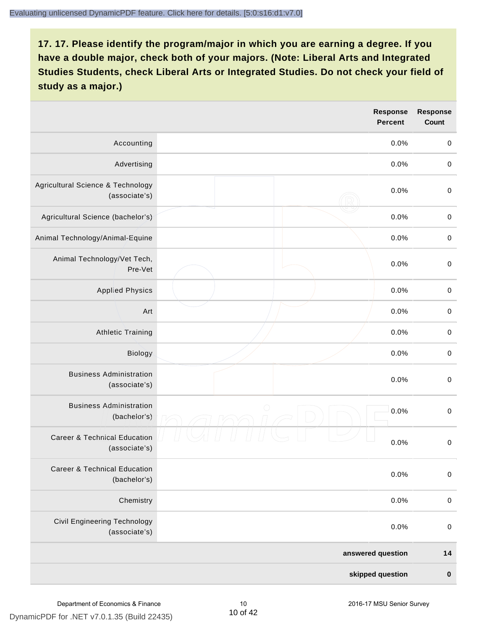|                                                          |            | <b>Response</b><br><b>Percent</b> | <b>Response</b><br><b>Count</b> |
|----------------------------------------------------------|------------|-----------------------------------|---------------------------------|
| Accounting                                               |            | 0.0%                              | $\boldsymbol{0}$                |
| Advertising                                              |            | 0.0%                              | $\boldsymbol{0}$                |
| Agricultural Science & Technology<br>(associate's)       |            | 0.0%                              | $\pmb{0}$                       |
| Agricultural Science (bachelor's)                        |            | 0.0%                              | $\mathbf 0$                     |
| Animal Technology/Animal-Equine                          |            | 0.0%                              | $\mathbf 0$                     |
| Animal Technology/Vet Tech,<br>Pre-Vet                   |            | 0.0%                              | $\mathbf 0$                     |
| <b>Applied Physics</b>                                   |            | 0.0%                              | $\mathbf 0$                     |
| Art                                                      |            | 0.0%                              | $\mathbf 0$                     |
| <b>Athletic Training</b>                                 |            | 0.0%                              | $\pmb{0}$                       |
| Biology                                                  |            | 0.0%                              | $\boldsymbol{0}$                |
| <b>Business Administration</b><br>(associate's)          |            | 0.0%                              | $\pmb{0}$                       |
| <b>Business Administration</b><br>(bachelor's)           | $\bigcirc$ | 0.0%                              | $\boldsymbol{0}$                |
| <b>Career &amp; Technical Education</b><br>(associate's) |            | 0.0%                              | $\mathbf 0$                     |
| <b>Career &amp; Technical Education</b><br>(bachelor's)  |            | 0.0%                              | $\pmb{0}$                       |
| Chemistry                                                |            | 0.0%                              | $\boldsymbol{0}$                |
| Civil Engineering Technology<br>(associate's)            |            | 0.0%                              | $\boldsymbol{0}$                |
|                                                          |            | answered question                 | $14$                            |
|                                                          |            | skipped question                  | $\pmb{0}$                       |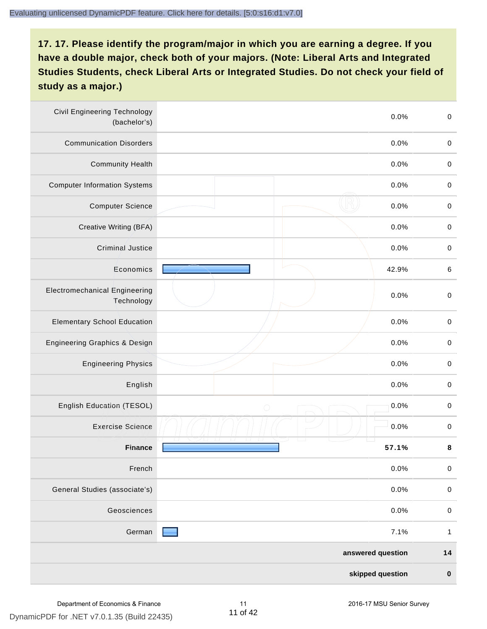| <b>Civil Engineering Technology</b><br>(bachelor's) | 0.0%               | $\mathbf 0$  |
|-----------------------------------------------------|--------------------|--------------|
| <b>Communication Disorders</b>                      | 0.0%               | $\mathbf 0$  |
| <b>Community Health</b>                             | 0.0%               | $\mathbf 0$  |
| <b>Computer Information Systems</b>                 | 0.0%               | $\pmb{0}$    |
| <b>Computer Science</b>                             | 0.0%               | $\mathbf 0$  |
| Creative Writing (BFA)                              | 0.0%               | $\mathbf 0$  |
| <b>Criminal Justice</b>                             | 0.0%               | $\pmb{0}$    |
| Economics                                           | 42.9%              | $\,6\,$      |
| <b>Electromechanical Engineering</b><br>Technology  | 0.0%               | $\mathbf 0$  |
| <b>Elementary School Education</b>                  | 0.0%               | $\mathbf 0$  |
| Engineering Graphics & Design                       | 0.0%               | $\pmb{0}$    |
| <b>Engineering Physics</b>                          | 0.0%               | $\pmb{0}$    |
| English                                             | 0.0%               | $\pmb{0}$    |
| English Education (TESOL)                           | 0.0%<br>$\bigcirc$ | $\pmb{0}$    |
| <b>Exercise Science</b>                             | 0.0%               | $\pmb{0}$    |
| <b>Finance</b>                                      | 57.1%              | 8            |
| French                                              | 0.0%               | $\mathbf 0$  |
| General Studies (associate's)                       | 0.0%               | $\,0\,$      |
| Geosciences                                         | 0.0%               | $\mathbf 0$  |
| German                                              | 7.1%               | $\mathbf{1}$ |
|                                                     | answered question  | $14$         |
|                                                     | skipped question   | $\pmb{0}$    |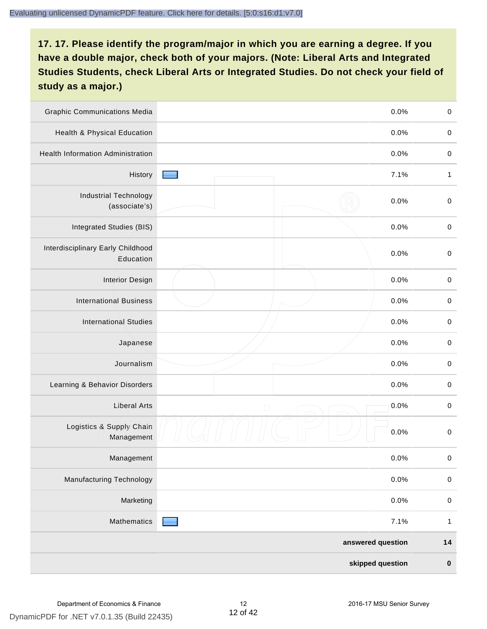| <b>Graphic Communications Media</b>            |            | 0.0%              | $\pmb{0}$    |
|------------------------------------------------|------------|-------------------|--------------|
| <b>Health &amp; Physical Education</b>         |            | 0.0%              | $\pmb{0}$    |
| <b>Health Information Administration</b>       |            | 0.0%              | $\pmb{0}$    |
| History                                        |            | 7.1%              | $\mathbf{1}$ |
| <b>Industrial Technology</b><br>(associate's)  |            | 0.0%              | $\pmb{0}$    |
| Integrated Studies (BIS)                       |            | 0.0%              | $\pmb{0}$    |
| Interdisciplinary Early Childhood<br>Education |            | 0.0%              | $\pmb{0}$    |
| <b>Interior Design</b>                         |            | 0.0%              | $\pmb{0}$    |
| <b>International Business</b>                  |            | 0.0%              | $\pmb{0}$    |
| <b>International Studies</b>                   |            | 0.0%              | $\pmb{0}$    |
| Japanese                                       |            | 0.0%              | $\pmb{0}$    |
| Journalism                                     |            | 0.0%              | $\pmb{0}$    |
| Learning & Behavior Disorders                  |            | 0.0%              | $\pmb{0}$    |
| <b>Liberal Arts</b>                            | $\bigcirc$ | 0.0%              | $\pmb{0}$    |
| Logistics & Supply Chain<br>Management         |            | 0.0%              | $\pmb{0}$    |
| Management                                     |            | 0.0%              | $\pmb{0}$    |
| Manufacturing Technology                       |            | 0.0%              | $\pmb{0}$    |
| Marketing                                      |            | 0.0%              | $\pmb{0}$    |
| Mathematics                                    |            | 7.1%              | $\mathbf{1}$ |
|                                                |            | answered question | $14$         |
|                                                |            | skipped question  | $\pmb{0}$    |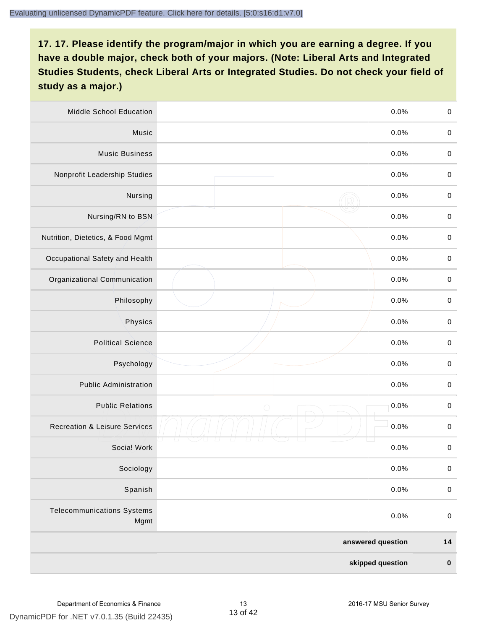| <b>Middle School Education</b>            | 0.0%               | $\,0\,$     |
|-------------------------------------------|--------------------|-------------|
| Music                                     | 0.0%               | $\mathbf 0$ |
| <b>Music Business</b>                     | 0.0%               | $\mathbf 0$ |
| Nonprofit Leadership Studies              | 0.0%               | $\pmb{0}$   |
| Nursing                                   | 0.0%               | $\pmb{0}$   |
| Nursing/RN to BSN                         | 0.0%               | $\,0\,$     |
| Nutrition, Dietetics, & Food Mgmt         | 0.0%               | $\pmb{0}$   |
| Occupational Safety and Health            | 0.0%               | $\mathbf 0$ |
| Organizational Communication              | 0.0%               | $\pmb{0}$   |
| Philosophy                                | 0.0%               | $\pmb{0}$   |
| Physics                                   | 0.0%               | $\,0\,$     |
| <b>Political Science</b>                  | 0.0%               | $\mathbf 0$ |
| Psychology                                | 0.0%               | $\pmb{0}$   |
| <b>Public Administration</b>              | 0.0%               | $\pmb{0}$   |
| <b>Public Relations</b>                   | 0.0%<br>$\bigcirc$ | $\pmb{0}$   |
| <b>Recreation &amp; Leisure Services</b>  | 0.0%               | $\,0\,$     |
| Social Work                               | 0.0%               | $\,0\,$     |
| Sociology                                 | 0.0%               | $\mathbf 0$ |
| Spanish                                   | 0.0%               | $\pmb{0}$   |
| <b>Telecommunications Systems</b><br>Mgmt | 0.0%               | $\mathbf 0$ |
|                                           | answered question  | $14$        |
|                                           | skipped question   | $\pmb{0}$   |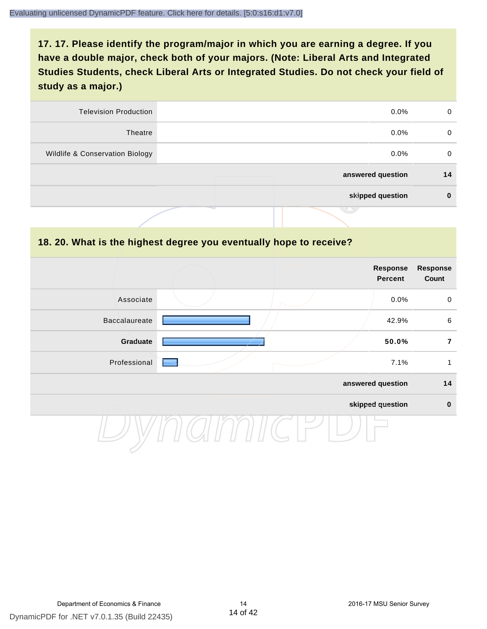| <b>Television Production</b>    | $0.0\%$           | 0  |
|---------------------------------|-------------------|----|
| Theatre                         | $0.0\%$           | 0  |
| Wildlife & Conservation Biology | $0.0\%$           | 0  |
|                                 | answered question | 14 |
|                                 | skipped question  | 0  |
|                                 | .                 |    |

#### **18. 20. What is the highest degree you eventually hope to receive?**

|               |  | Response<br>Percent | <b>Response</b><br>Count |
|---------------|--|---------------------|--------------------------|
| Associate     |  | 0.0%                | $\mathbf 0$              |
| Baccalaureate |  | 42.9%               | $\,6\,$                  |
| Graduate      |  | 50.0%               | $\overline{7}$           |
| Professional  |  | 7.1%                | 1                        |
|               |  | answered question   | 14                       |
|               |  | skipped question    | $\pmb{0}$                |
|               |  |                     |                          |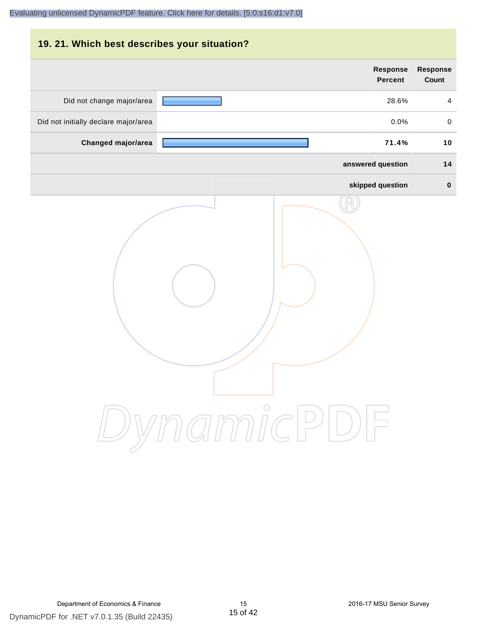# **19. 21. Which best describes your situation? Response Response Percent Count** Did not change major/area **28.6%** 4 Did not initially declare major/area  $0.0\%$  0.0% 0.0% **Changed major/area 71.4% 10 answered question 14 skipped question 0** DynamicPDF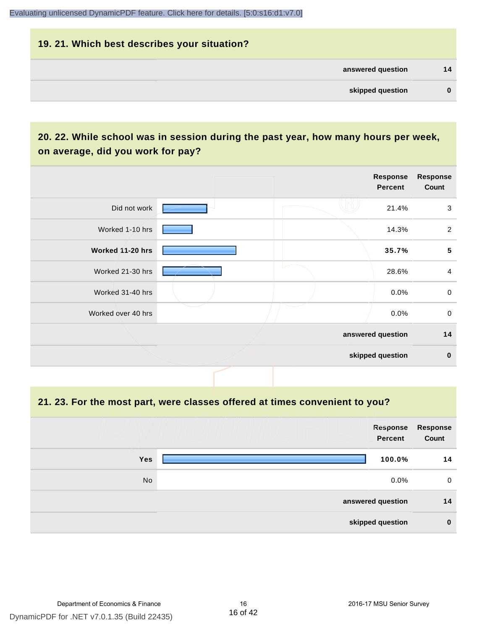# **19. 21. Which best describes your situation? answered question 14 skipped question 0**

#### **20. 22. While school was in session during the past year, how many hours per week, on average, did you work for pay?**

|                    |  | Response<br>Percent | <b>Response</b><br>Count |
|--------------------|--|---------------------|--------------------------|
| Did not work       |  | 21.4%               | $\mathbf{3}$             |
| Worked 1-10 hrs    |  | 14.3%               | $\overline{2}$           |
| Worked 11-20 hrs   |  | 35.7%               | $\overline{\mathbf{5}}$  |
| Worked 21-30 hrs   |  | 28.6%               | $\overline{4}$           |
| Worked 31-40 hrs   |  | $0.0\%$             | $\mathsf{O}$             |
| Worked over 40 hrs |  | $0.0\%$             | $\mathbf 0$              |
|                    |  | answered question   | 14                       |
|                    |  | skipped question    | $\mathbf 0$              |

**21. 23. For the most part, were classes offered at times convenient to you?**

|            | Response<br><b>Percent</b> | <b>Response</b><br>Count |
|------------|----------------------------|--------------------------|
| <b>Yes</b> | 100.0%                     | 14                       |
| No         | $0.0\%$                    | 0                        |
|            | answered question          | 14                       |
|            | skipped question           | $\bf{0}$                 |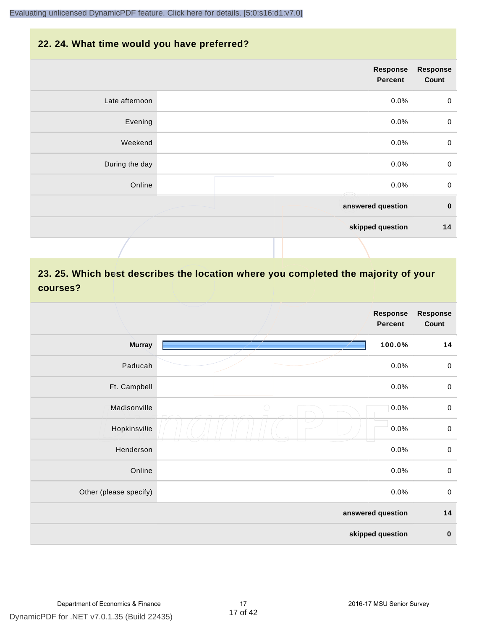#### **22. 24. What time would you have preferred?**

|                | Response<br>Percent | <b>Response</b><br>Count |
|----------------|---------------------|--------------------------|
| Late afternoon | 0.0%                | $\pmb{0}$                |
| Evening        | 0.0%                | $\mathbf 0$              |
| Weekend        | 0.0%                | $\mathbf 0$              |
| During the day | 0.0%                | $\mathbf 0$              |
| Online         | 0.0%                | $\mathbf 0$              |
|                | answered question   | $\pmb{0}$                |
|                | skipped question    | 14                       |
|                |                     |                          |

#### **23. 25. Which best describes the location where you completed the majority of your courses?**

|                        | <b>Response</b><br><b>Response</b><br><b>Percent</b> |                  |
|------------------------|------------------------------------------------------|------------------|
| <b>Murray</b>          | 100.0%                                               | 14               |
| Paducah                | 0.0%                                                 | $\,0\,$          |
| Ft. Campbell           | 0.0%                                                 | $\,0\,$          |
| Madisonville           | $\bigcirc$<br>0.0%                                   | $\boldsymbol{0}$ |
| Hopkinsville           | 0.0%                                                 | $\,0\,$          |
| Henderson              | 0.0%                                                 | $\,0\,$          |
| Online                 | 0.0%                                                 | $\,0\,$          |
| Other (please specify) | 0.0%                                                 | $\,0\,$          |
|                        | answered question                                    | 14               |
|                        | skipped question                                     | $\pmb{0}$        |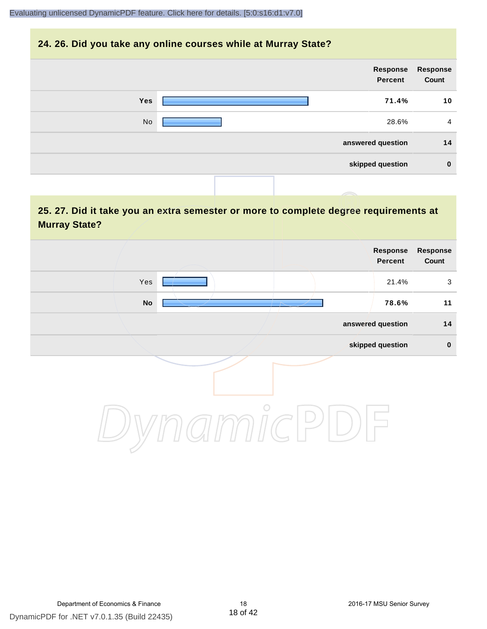#### **24. 26. Did you take any online courses while at Murray State?**

| Response<br>Count | Response<br>Percent |     |
|-------------------|---------------------|-----|
| 10                | 71.4%               | Yes |
| $\overline{4}$    | 28.6%               | No  |
| 14                | answered question   |     |
| $\mathbf 0$       | skipped question    |     |
|                   |                     |     |

#### **25. 27. Did it take you an extra semester or more to complete degree requirements at Murray State?**

| Response<br>Count | Response<br>Percent |                          |     |  |
|-------------------|---------------------|--------------------------|-----|--|
| $\mathbf{3}$      | 21.4%               |                          | Yes |  |
| 11                | 78.6%               | $\overline{\phantom{a}}$ | No  |  |
| $14$              | answered question   |                          |     |  |
| $\pmb{0}$         | skipped question    |                          |     |  |
|                   |                     | $\circ$                  |     |  |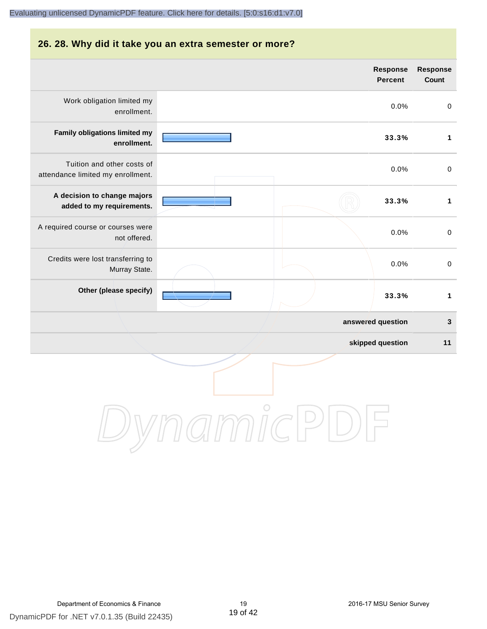# **26. 28. Why did it take you an extra semester or more? answered question 3 skipped question 11 Response Percent Response Count** Work obligation limited my enrollment. 0.0% 0 **Family obligations limited my enrollment. 33.3% 1** Tuition and other costs of attendance limited my enrollment. 0.0% 0 **A decision to change majors added to my requirements. 33.3% 1** A required course or courses were not offered. 0.0% 0 Credits were lost transferring to Murray State. 0.0% 0 **Other (please specify) 33.3% 1**

DynamicPDF for .NET v7.0.1.35 (Build 22435) Department of Economics & Finance 19 2016-17 MSU Senior Survey

DynamicPDI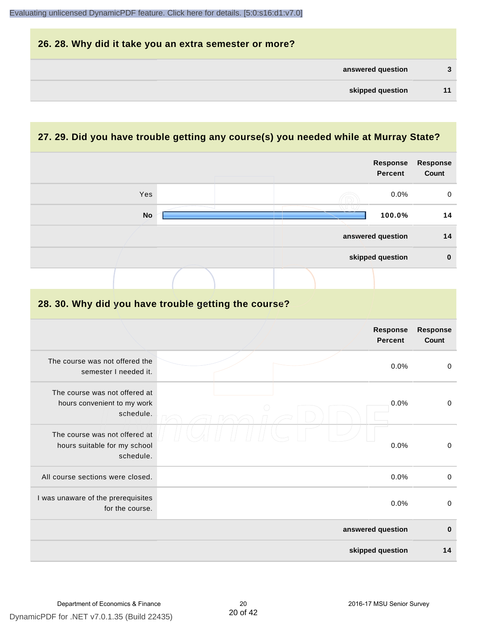| 26. 28. Why did it take you an extra semester or more? |    |
|--------------------------------------------------------|----|
| answered question                                      | 3  |
| skipped question                                       | 11 |

## **27. 29. Did you have trouble getting any course(s) you needed while at Murray State?**

|                                                                            |                                                      | Response<br><b>Percent</b> | <b>Response</b><br>Count        |
|----------------------------------------------------------------------------|------------------------------------------------------|----------------------------|---------------------------------|
| Yes                                                                        |                                                      | 0.0%                       | $\,0\,$                         |
| <b>No</b>                                                                  |                                                      | 100.0%                     | 14                              |
|                                                                            |                                                      | answered question          | 14                              |
|                                                                            |                                                      | skipped question           | $\pmb{0}$                       |
|                                                                            |                                                      |                            |                                 |
|                                                                            | 28. 30. Why did you have trouble getting the course? |                            |                                 |
|                                                                            |                                                      | Response<br><b>Percent</b> | <b>Response</b><br><b>Count</b> |
| The course was not offered the<br>semester I needed it.                    |                                                      | 0.0%                       | $\pmb{0}$                       |
| The course was not offered at<br>hours convenient to my work<br>schedule.  |                                                      | 0.0%                       | $\mathsf 0$                     |
| The course was not offered at<br>hours suitable for my school<br>schedule. |                                                      | 0.0%                       | $\mathbf 0$                     |
| All course sections were closed.                                           |                                                      | 0.0%                       | $\pmb{0}$                       |
| I was unaware of the prerequisites<br>for the course.                      |                                                      | 0.0%                       | 0                               |
|                                                                            |                                                      | answered question          | $\bf{0}$                        |
|                                                                            |                                                      | skipped question           | 14                              |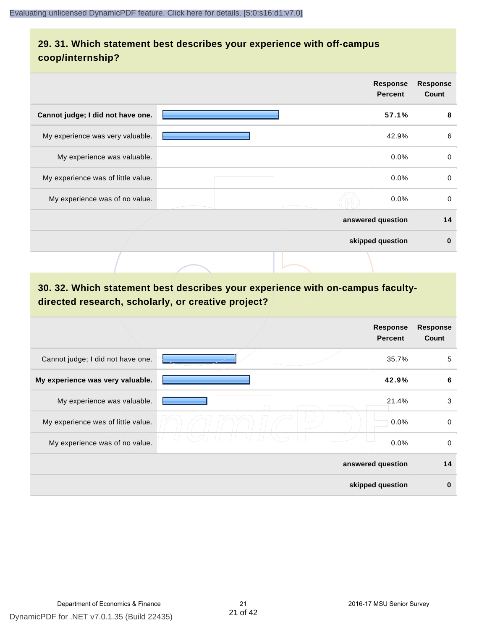#### **29. 31. Which statement best describes your experience with off-campus coop/internship?**

|                                    | <b>Response</b><br><b>Percent</b> | <b>Response</b><br>Count |
|------------------------------------|-----------------------------------|--------------------------|
| Cannot judge; I did not have one.  | 57.1%                             |                          |
| My experience was very valuable.   | 42.9%                             |                          |
| My experience was valuable.        | $0.0\%$                           |                          |
| My experience was of little value. | $0.0\%$                           |                          |
| My experience was of no value.     | $0.0\%$                           |                          |
|                                    | answered question                 |                          |
|                                    | skipped question                  |                          |
|                                    |                                   |                          |

## **30. 32. Which statement best describes your experience with on-campus facultydirected research, scholarly, or creative project?**

|                                    | <b>Response</b><br><b>Percent</b> | <b>Response</b><br>Count |
|------------------------------------|-----------------------------------|--------------------------|
| Cannot judge; I did not have one.  | 35.7%                             | 5                        |
| My experience was very valuable.   | 42.9%                             | 6                        |
| My experience was valuable.        | 21.4%                             | 3                        |
| My experience was of little value. | 0.0%                              | $\mathbf 0$              |
| My experience was of no value.     | 0.0%                              | 0                        |
|                                    | answered question                 | 14                       |
|                                    | skipped question                  | $\bf{0}$                 |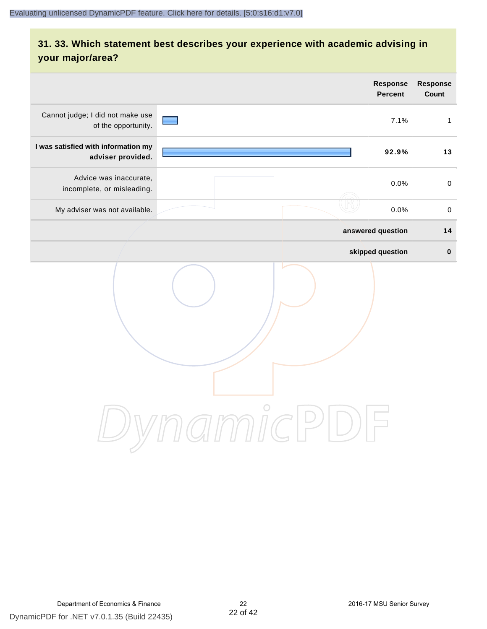# **31. 33. Which statement best describes your experience with academic advising in your major/area?**

|                                                          |                                     | Response<br><b>Percent</b> | Response<br>Count |
|----------------------------------------------------------|-------------------------------------|----------------------------|-------------------|
| Cannot judge; I did not make use<br>of the opportunity.  |                                     | 7.1%                       | $\mathbf{1}$      |
| I was satisfied with information my<br>adviser provided. |                                     | 92.9%                      | 13                |
| Advice was inaccurate,<br>incomplete, or misleading.     |                                     | 0.0%                       | $\mathbf 0$       |
| My adviser was not available.                            |                                     | 0.0%                       | $\mathbf 0$       |
|                                                          |                                     | answered question          | 14                |
|                                                          |                                     | skipped question           | $\pmb{0}$         |
|                                                          | $\bigcirc$<br>mici<br>$\frac{1}{2}$ |                            |                   |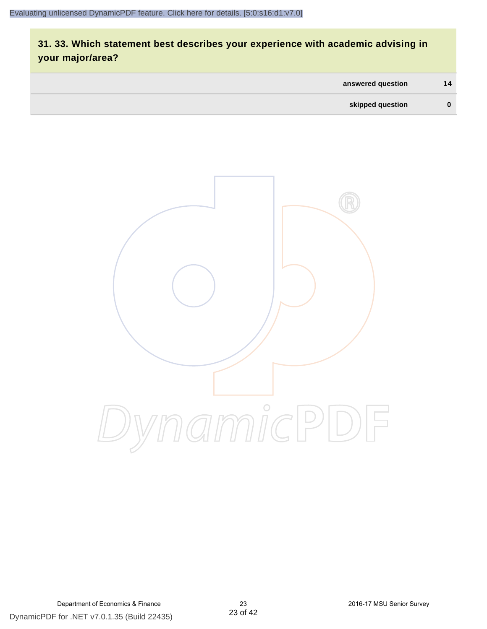# **31. 33. Which statement best describes your experience with academic advising in your major/area?**

| answered question | 14       |
|-------------------|----------|
| skipped question  | $\bf{0}$ |

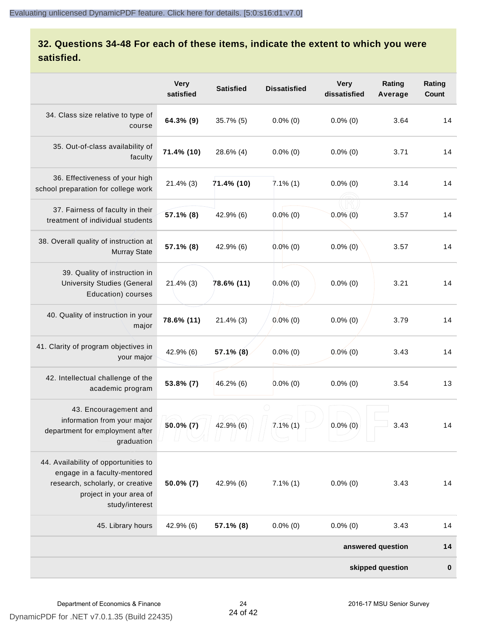#### **32. Questions 34-48 For each of these items, indicate the extent to which you were satisfied.**

|                                                                                                                                                       | <b>Very</b><br>satisfied | <b>Satisfied</b> | <b>Dissatisfied</b> | <b>Very</b><br>dissatisfied | Rating<br>Average | Rating<br>Count |  |
|-------------------------------------------------------------------------------------------------------------------------------------------------------|--------------------------|------------------|---------------------|-----------------------------|-------------------|-----------------|--|
| 34. Class size relative to type of<br>course                                                                                                          | 64.3% (9)                | 35.7% (5)        | $0.0\%$ (0)         | $0.0\%$ (0)                 | 3.64              | 14              |  |
| 35. Out-of-class availability of<br>faculty                                                                                                           | 71.4% (10)               | 28.6% (4)        | $0.0\%$ (0)         | $0.0\%$ (0)                 | 3.71              | 14              |  |
| 36. Effectiveness of your high<br>school preparation for college work                                                                                 | $21.4\%$ (3)             | 71.4% (10)       | $7.1\%$ (1)         | $0.0\%$ (0)                 | 3.14              | 14              |  |
| 37. Fairness of faculty in their<br>treatment of individual students                                                                                  | 57.1% (8)                | 42.9% (6)        | $0.0\%$ (0)         | $0.0\%$ (0)                 | 3.57              | 14              |  |
| 38. Overall quality of instruction at<br><b>Murray State</b>                                                                                          | 57.1% (8)                | 42.9% (6)        | $0.0\%$ (0)         | $0.0\%$ (0)                 | 3.57              | 14              |  |
| 39. Quality of instruction in<br><b>University Studies (General</b><br>Education) courses                                                             | $21.4\%$ (3)             | 78.6% (11)       | $0.0\%$ (0)         | $0.0\%$ (0)                 | 3.21              | 14              |  |
| 40. Quality of instruction in your<br>major                                                                                                           | 78.6% (11)               | $21.4\%$ (3)     | $0.0\%$ (0)         | $0.0\%$ (0)                 | 3.79              | 14              |  |
| 41. Clarity of program objectives in<br>your major                                                                                                    | 42.9% (6)                | $57.1\%$ (8)     | $0.0\%$ (0)         | $0.0\%$ (0)                 | 3.43              | 14              |  |
| 42. Intellectual challenge of the<br>academic program                                                                                                 | 53.8% (7)                | 46.2% (6)        | $0.0\%$ (0)         | $0.0\%$ (0)                 | 3.54              | 13              |  |
| 43. Encouragement and<br>information from your major<br>department for employment after<br>graduation                                                 | $50.0\%$ (7)             | 42.9% (6)        | $7.1\%$ (1)         | $0.0\%$ (0)                 | 3.43              | 14              |  |
| 44. Availability of opportunities to<br>engage in a faculty-mentored<br>research, scholarly, or creative<br>project in your area of<br>study/interest | $50.0\%$ (7)             | 42.9% (6)        | $7.1\%$ (1)         | $0.0\%$ (0)                 | 3.43              | 14              |  |
| 45. Library hours                                                                                                                                     | 42.9% (6)                | $57.1\%$ (8)     | $0.0\%$ (0)         | $0.0\%$ (0)                 | 3.43              | 14              |  |
|                                                                                                                                                       |                          |                  |                     |                             | answered question | 14              |  |
| skipped question                                                                                                                                      |                          |                  |                     |                             |                   |                 |  |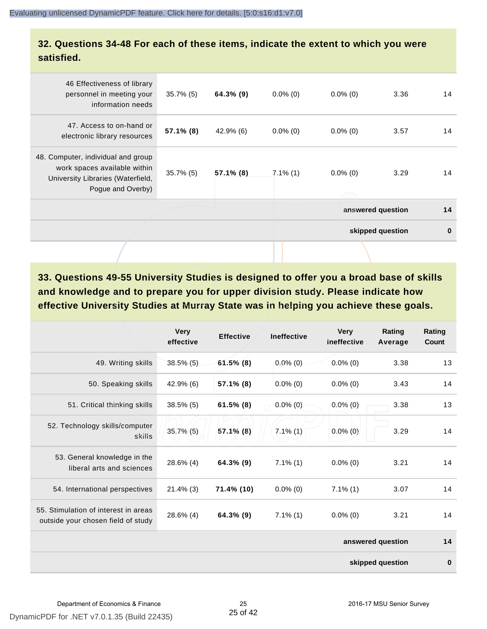#### **32. Questions 34-48 For each of these items, indicate the extent to which you were satisfied.**

| 46 Effectiveness of library<br>personnel in meeting your<br>information needs                                                | $35.7\%$ (5) | 64.3% (9)    | $0.0\%$ (0) | $0.0\%$ (0) | 3.36              | 14       |
|------------------------------------------------------------------------------------------------------------------------------|--------------|--------------|-------------|-------------|-------------------|----------|
| 47. Access to on-hand or<br>electronic library resources                                                                     | $57.1\%$ (8) | $42.9\%$ (6) | $0.0\%$ (0) | $0.0\%$ (0) | 3.57              | 14       |
| 48. Computer, individual and group<br>work spaces available within<br>University Libraries (Waterfield,<br>Pogue and Overby) | $35.7\%$ (5) | 57.1% (8)    | $7.1\%$ (1) | $0.0\%$ (0) | 3.29              | 14       |
|                                                                                                                              |              |              |             |             | answered question | 14       |
|                                                                                                                              |              |              |             |             | skipped question  | $\bf{0}$ |
|                                                                                                                              |              |              |             |             |                   |          |

**33. Questions 49-55 University Studies is designed to offer you a broad base of skills and knowledge and to prepare you for upper division study. Please indicate how effective University Studies at Murray State was in helping you achieve these goals.**

|                                                                            | <b>Very</b><br>effective | <b>Effective</b> | <b>Ineffective</b> | <b>Very</b><br>ineffective | Rating<br>Average | Rating<br>Count |
|----------------------------------------------------------------------------|--------------------------|------------------|--------------------|----------------------------|-------------------|-----------------|
| 49. Writing skills                                                         | $38.5\%$ (5)             | $61.5\%$ (8)     | $0.0\%$ (0)        | $0.0\%$ (0)                | 3.38              | 13              |
| 50. Speaking skills                                                        | $42.9\%$ (6)             | 57.1% (8)        | $0.0\%$ (0)        | $0.0\%$ (0)                | 3.43              | 14              |
| 51. Critical thinking skills                                               | $38.5\%$ (5)             | $61.5\%$ (8)     | $0.0\%$ (0)        | $0.0\%$ (0)                | 3.38              | 13              |
| 52. Technology skills/computer<br>skills                                   | $35.7\%$ (5)             | 57.1% (8)        | $7.1\%$ (1)        | $0.0\%$ (0)                | 3.29              | 14              |
| 53. General knowledge in the<br>liberal arts and sciences                  | 28.6% (4)                | 64.3% (9)        | $7.1\%$ (1)        | $0.0\%$ (0)                | 3.21              | 14              |
| 54. International perspectives                                             | $21.4\%$ (3)             | 71.4% (10)       | $0.0\%$ (0)        | $7.1\%$ (1)                | 3.07              | 14              |
| 55. Stimulation of interest in areas<br>outside your chosen field of study | 28.6% (4)                | 64.3% (9)        | $7.1\%$ (1)        | $0.0\%$ (0)                | 3.21              | 14              |
|                                                                            |                          |                  |                    |                            | answered question | 14              |
|                                                                            |                          |                  |                    |                            | skipped question  | $\bf{0}$        |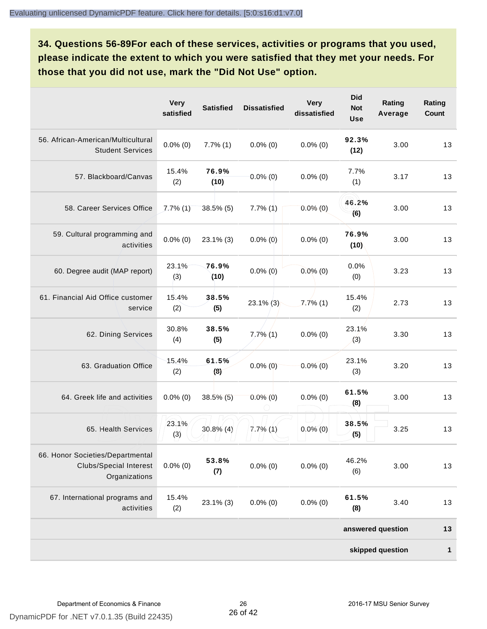**34. Questions 56-89For each of these services, activities or programs that you used, please indicate the extent to which you were satisfied that they met your needs. For those that you did not use, mark the "Did Not Use" option.**

|                                                                                    | <b>Very</b><br>satisfied | <b>Satisfied</b> | <b>Dissatisfied</b> | <b>Very</b><br>dissatisfied | <b>Did</b><br><b>Not</b><br><b>Use</b> | Rating<br>Average | Rating<br>Count |
|------------------------------------------------------------------------------------|--------------------------|------------------|---------------------|-----------------------------|----------------------------------------|-------------------|-----------------|
| 56. African-American/Multicultural<br><b>Student Services</b>                      | $0.0\%$ (0)              | $7.7\%$ $(1)$    | $0.0\%$ (0)         | $0.0\%$ (0)                 | 92.3%<br>(12)                          | 3.00              | 13              |
| 57. Blackboard/Canvas                                                              | 15.4%<br>(2)             | 76.9%<br>(10)    | $0.0\%$ (0)         | $0.0\%$ (0)                 | 7.7%<br>(1)                            | 3.17              | 13              |
| 58. Career Services Office                                                         | $7.7\%$ (1)              | $38.5\%$ (5)     | $7.7\%$ (1)         | $0.0\%$ (0)                 | 46.2%<br>(6)                           | 3.00              | 13              |
| 59. Cultural programming and<br>activities                                         | $0.0\%$ (0)              | $23.1\%$ (3)     | $0.0\%$ (0)         | $0.0\%$ (0)                 | 76.9%<br>(10)                          | 3.00              | 13              |
| 60. Degree audit (MAP report)                                                      | 23.1%<br>(3)             | 76.9%<br>(10)    | $0.0\%$ (0)         | $0.0\%$ (0)                 | 0.0%<br>(0)                            | 3.23              | 13              |
| 61. Financial Aid Office customer<br>service                                       | 15.4%<br>(2)             | 38.5%<br>(5)     | $23.1\%$ (3)        | $7.7\%$ (1)                 | 15.4%<br>(2)                           | 2.73              | 13              |
| 62. Dining Services                                                                | 30.8%<br>(4)             | 38.5%<br>(5)     | $7,7\%$ (1)         | $0.0\%$ (0)                 | 23.1%<br>(3)                           | 3.30              | 13              |
| 63. Graduation Office                                                              | 15.4%<br>(2)             | 61.5%<br>(8)     | $0.0\%$ (0)         | $0.0\%$ (0)                 | 23.1%<br>(3)                           | 3.20              | 13              |
| 64. Greek life and activities                                                      | $0.0\%$ (0)              | $38.5\%$ (5)     | $0.0\%$ (0)         | $0.0\%$ (0)                 | 61.5%<br>(8)                           | 3.00              | 13              |
| 65. Health Services                                                                | 23.1%<br>(3)             | $30.8\%$ (4)     | $7.7\%$ (1)         | $0.0\%$ (0)                 | 38.5%<br>(5)                           | 3.25              | 13              |
| 66. Honor Societies/Departmental<br><b>Clubs/Special Interest</b><br>Organizations | $0.0\%$ (0)              | 53.8%<br>(7)     | $0.0\%$ (0)         | $0.0\%$ (0)                 | 46.2%<br>(6)                           | 3.00              | 13              |
| 67. International programs and<br>activities                                       | 15.4%<br>(2)             | 23.1% (3)        | $0.0\%$ (0)         | $0.0\%$ (0)                 | 61.5%<br>(8)                           | 3.40              | 13              |
|                                                                                    |                          |                  |                     |                             |                                        | answered question | 13              |
|                                                                                    |                          |                  |                     |                             |                                        | skipped question  | $\mathbf{1}$    |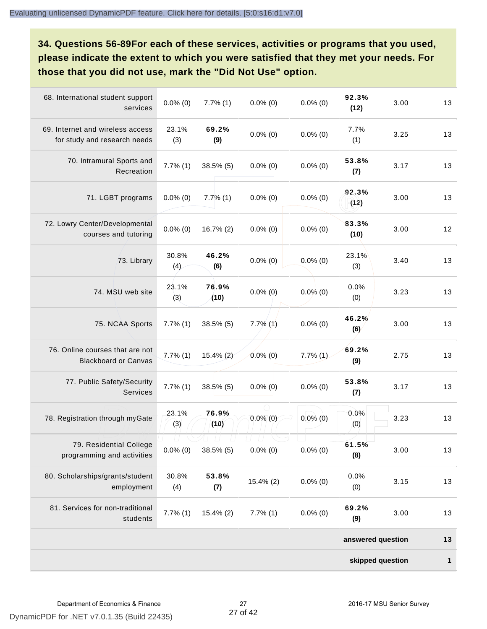**34. Questions 56-89For each of these services, activities or programs that you used, please indicate the extent to which you were satisfied that they met your needs. For those that you did not use, mark the "Did Not Use" option.**

| 68. International student support<br>services                    | $0.0\%$ (0)           | $7.7\%$ $(1)$ | $0.0\%$ (0)   | $0.0\%$ (0) | 92.3%<br>(12)     | 3.00 | 13 |  |
|------------------------------------------------------------------|-----------------------|---------------|---------------|-------------|-------------------|------|----|--|
| 69. Internet and wireless access<br>for study and research needs | 23.1%<br>(3)          | 69.2%<br>(9)  | $0.0\%$ (0)   | $0.0\%$ (0) | 7.7%<br>(1)       | 3.25 | 13 |  |
| 70. Intramural Sports and<br>Recreation                          | $7.7\%$ $(1)$         | 38.5% (5)     | $0.0\%$ (0)   | $0.0\%$ (0) | 53.8%<br>(7)      | 3.17 | 13 |  |
| 71. LGBT programs                                                | $0.0\%$ (0)           | $7.7\%$ (1)   | $0.0\%$ (0)   | $0.0\%$ (0) | 92.3%<br>(12)     | 3.00 | 13 |  |
| 72. Lowry Center/Developmental<br>courses and tutoring           | $0.0\%$ (0)           | 16.7% (2)     | $0.0\%$ (0)   | $0.0\%$ (0) | 83.3%<br>(10)     | 3.00 | 12 |  |
| 73. Library                                                      | 30.8%<br>(4)          | 46.2%<br>(6)  | $0.0\%$ (0)   | $0.0\%$ (0) | 23.1%<br>(3)      | 3.40 | 13 |  |
| 74. MSU web site                                                 | 23.1%<br>(3)          | 76.9%<br>(10) | $0.0\%$ (0)   | $0.0\%$ (0) | 0.0%<br>(0)       | 3.23 | 13 |  |
| 75. NCAA Sports                                                  | $7.7\%$ $(1)$         | 38.5% (5)     | $7.7\%$ $(1)$ | $0.0\%$ (0) | 46.2%<br>(6)      | 3.00 | 13 |  |
| 76. Online courses that are not<br><b>Blackboard or Canvas</b>   | $7.7\%$ $(1)$         | $15.4\%$ (2)  | $0.0\%$ (0)   | $7.7\%$ (1) | 69.2%<br>(9)      | 2.75 | 13 |  |
| 77. Public Safety/Security<br><b>Services</b>                    | 7.7%(1)               | $38.5\%$ (5)  | $0.0\%$ (0)   | $0.0\%$ (0) | 53.8%<br>(7)      | 3.17 | 13 |  |
| 78. Registration through myGate                                  | 23.1%<br>(3)          | 76.9%<br>(10) | $0.0\%$ (0)   | $0.0\%$ (0) | 0.0%<br>(0)       | 3.23 | 13 |  |
| 79. Residential College<br>programming and activities            | $\Box$<br>$0.0\%$ (0) | 38.5% (5)     | $0.0\%$ (0)   | $0.0\%$ (0) | 61.5%<br>(8)      | 3.00 | 13 |  |
| 80. Scholarships/grants/student<br>employment                    | 30.8%<br>(4)          | 53.8%<br>(7)  | 15.4% (2)     | $0.0\%$ (0) | 0.0%<br>(0)       | 3.15 | 13 |  |
| 81. Services for non-traditional<br>students                     | $7.7\%$ $(1)$         | $15.4\%$ (2)  | $7.7\%$ $(1)$ | $0.0\%$ (0) | 69.2%<br>(9)      | 3.00 | 13 |  |
|                                                                  |                       |               |               |             | answered question |      | 13 |  |
| skipped question                                                 |                       |               |               |             |                   |      |    |  |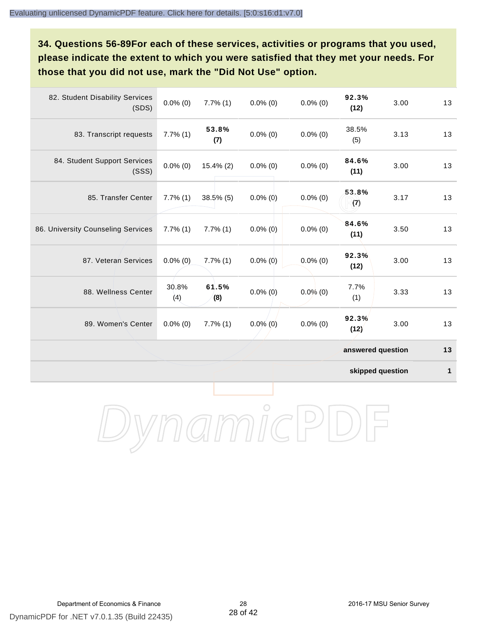## **34. Questions 56-89For each of these services, activities or programs that you used, please indicate the extent to which you were satisfied that they met your needs. For those that you did not use, mark the "Did Not Use" option.**

| 82. Student Disability Services<br>(SDS) | $0.0\%$ (0)   | $7.7\%$ (1)  | $0.0\%$ (0) | $0.0\%$ (0) | 92.3%<br>(12)     | 3.00 | 13 |
|------------------------------------------|---------------|--------------|-------------|-------------|-------------------|------|----|
| 83. Transcript requests                  | $7.7\%$ $(1)$ | 53.8%<br>(7) | $0.0\%$ (0) | $0.0\%$ (0) | 38.5%<br>(5)      | 3.13 | 13 |
| 84. Student Support Services<br>(SSS)    | $0.0\%$ (0)   | $15.4\%$ (2) | $0.0\%$ (0) | $0.0\%$ (0) | 84.6%<br>(11)     | 3.00 | 13 |
| 85. Transfer Center                      | $7.7\%$ (1)   | $38.5\%$ (5) | $0.0\%$ (0) | $0.0\%$ (0) | 53.8%<br>(7)      | 3.17 | 13 |
| 86. University Counseling Services       | $7.7\%$ (1)   | $7.7\%$ (1)  | $0.0\%$ (0) | $0.0\%$ (0) | 84.6%<br>(11)     | 3.50 | 13 |
| 87. Veteran Services                     | $0.0\%$ (0)   | $7.7\%$ (1)  | $0.0\%$ (0) | $0.0\%$ (0) | 92.3%<br>(12)     | 3.00 | 13 |
| 88. Wellness Center                      | 30.8%<br>(4)  | 61.5%<br>(8) | $0.0\%$ (0) | $0.0\%$ (0) | 7.7%<br>(1)       | 3.33 | 13 |
| 89. Women's Center                       | $0.0\%$ (0)   | $7.7\%$ (1)  | $0.0\%$ (0) | $0.0\%$ (0) | 92.3%<br>(12)     | 3.00 | 13 |
|                                          |               |              |             |             | answered question |      | 13 |

**skipped question 1**

DynamicPDF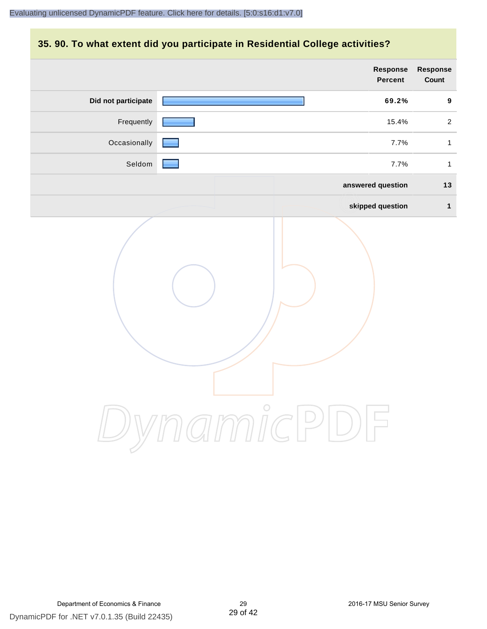#### **35. 90. To what extent did you participate in Residential College activities?**

|                     | <b>Response</b><br>Percent | Response<br>Count |
|---------------------|----------------------------|-------------------|
| Did not participate | 69.2%                      | $\boldsymbol{9}$  |
| Frequently          | 15.4%                      | $\overline{a}$    |
| Occasionally        | 7.7%                       | $\mathbf{1}$      |
| Seldom              | 7.7%                       | $\mathbf{1}$      |
|                     | answered question          | 13                |
|                     | skipped question           | $\mathbf{1}$      |
|                     | ynamicPl<br>$\bigcup$      |                   |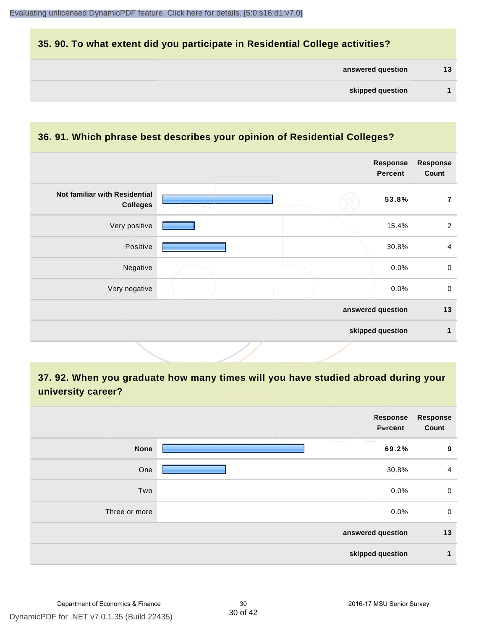#### **35. 90. To what extent did you participate in Residential College activities?**

| answered question |  | 13 |
|-------------------|--|----|
|-------------------|--|----|

#### **36. 91. Which phrase best describes your opinion of Residential Colleges?**

|                                                  |  | <b>Response</b><br><b>Percent</b> | <b>Response</b><br>Count |
|--------------------------------------------------|--|-----------------------------------|--------------------------|
| Not familiar with Residential<br><b>Colleges</b> |  | 53.8%                             | 7                        |
| Very positive                                    |  | 15.4%                             | $\overline{2}$           |
| Positive                                         |  | 30.8%                             | $\overline{4}$           |
| Negative                                         |  | 0.0%                              | $\mathbf 0$              |
| Very negative                                    |  | 0.0%                              | $\mathbf 0$              |
|                                                  |  | answered question                 | 13                       |
|                                                  |  | skipped question                  | 1                        |

## **37. 92. When you graduate how many times will you have studied abroad during your university career?**

|               | Response<br>Percent                                                              | <b>Response</b><br>Count |
|---------------|----------------------------------------------------------------------------------|--------------------------|
| <b>None</b>   | and the state of<br><b>Contract Contract Contract</b><br>$\overline{a}$<br>69.2% | 9                        |
| One           | 30.8%                                                                            | $\overline{4}$           |
| Two           | 0.0%                                                                             | 0                        |
| Three or more | 0.0%                                                                             | 0                        |
|               | answered question                                                                | 13                       |
|               | skipped question                                                                 | 1                        |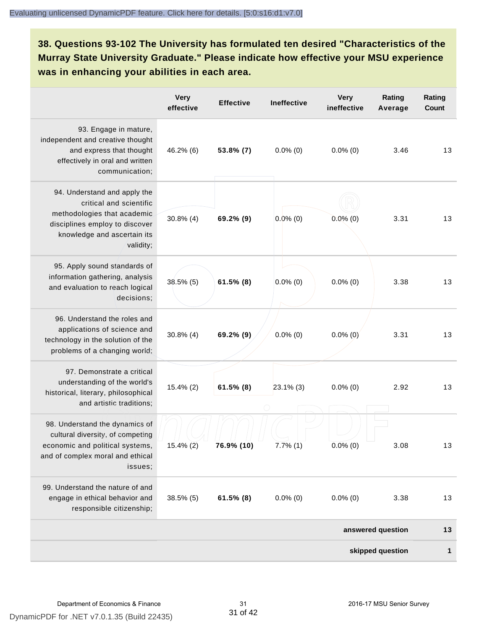# **38. Questions 93-102 The University has formulated ten desired "Characteristics of the Murray State University Graduate." Please indicate how effective your MSU experience was in enhancing your abilities in each area.**

|                                                                                                                                                                      | <b>Very</b><br>effective | <b>Effective</b> | Ineffective | <b>Very</b><br>ineffective | Rating<br>Average | Rating<br>Count |
|----------------------------------------------------------------------------------------------------------------------------------------------------------------------|--------------------------|------------------|-------------|----------------------------|-------------------|-----------------|
| 93. Engage in mature,<br>independent and creative thought<br>and express that thought<br>effectively in oral and written<br>communication;                           | 46.2% (6)                | 53.8% (7)        | $0.0\%$ (0) | $0.0\%$ (0)                | 3.46              | 13              |
| 94. Understand and apply the<br>critical and scientific<br>methodologies that academic<br>disciplines employ to discover<br>knowledge and ascertain its<br>validity; | $30.8\%$ (4)             | 69.2% (9)        | $0.0\%$ (0) | $0.0\%$ (0)                | 3.31              | 13              |
| 95. Apply sound standards of<br>information gathering, analysis<br>and evaluation to reach logical<br>decisions;                                                     | 38.5% (5)                | $61.5\%$ (8)     | $0.0\%$ (0) | $0.0\%$ (0)                | 3.38              | 13              |
| 96. Understand the roles and<br>applications of science and<br>technology in the solution of the<br>problems of a changing world;                                    | $30.8\%$ (4)             | 69.2% (9)        | $0.0\%$ (0) | $0.0\%$ (0)                | 3.31              | 13              |
| 97. Demonstrate a critical<br>understanding of the world's<br>historical, literary, philosophical<br>and artistic traditions;                                        | 15.4% (2)                | $61.5\%$ (8)     | 23.1% (3)   | $0.0\%$ (0)                | 2.92              | 13              |
| 98. Understand the dynamics of<br>cultural diversity, of competing<br>economic and political systems,<br>and of complex moral and ethical<br>issues;                 | 15.4% (2)                | 76.9% (10)       | $7.7\%$ (1) | $0.0\%$ (0)                | 3.08              | 13              |
| 99. Understand the nature of and<br>engage in ethical behavior and<br>responsible citizenship;                                                                       | $38.5\%$ (5)             | $61.5\%$ (8)     | $0.0\%$ (0) | $0.0\%$ (0)                | 3.38              | 13              |
|                                                                                                                                                                      |                          |                  |             |                            | answered question | 13              |
|                                                                                                                                                                      |                          |                  |             |                            | skipped question  | 1               |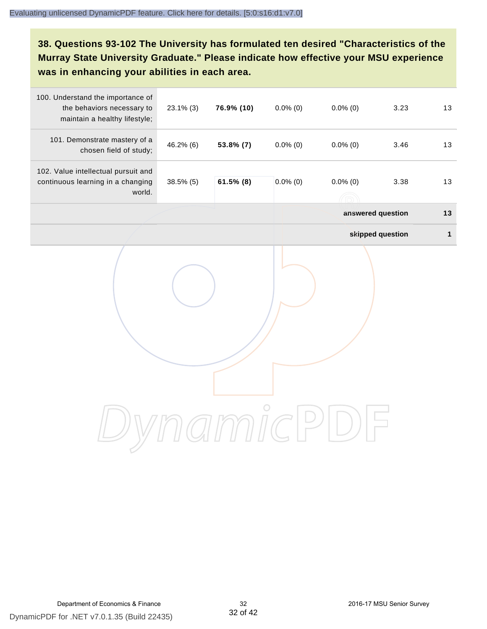# **38. Questions 93-102 The University has formulated ten desired "Characteristics of the Murray State University Graduate." Please indicate how effective your MSU experience was in enhancing your abilities in each area.**

| 100. Understand the importance of<br>the behaviors necessary to<br>maintain a healthy lifestyle; | $23.1\%$ (3) | 76.9% (10)   | $0.0\%$ (0) | $0.0\%$ (0)       | 3.23             | 13           |
|--------------------------------------------------------------------------------------------------|--------------|--------------|-------------|-------------------|------------------|--------------|
| 101. Demonstrate mastery of a<br>chosen field of study;                                          | 46.2% (6)    | 53.8% (7)    | $0.0\%$ (0) | $0.0\%$ (0)       | 3.46             | 13           |
| 102. Value intellectual pursuit and<br>continuous learning in a changing<br>world.               | 38.5% (5)    | $61.5\%$ (8) | $0.0\%$ (0) | $0.0\%$ (0)       | 3.38             | 13           |
|                                                                                                  |              |              |             | answered question |                  | 13           |
|                                                                                                  |              |              |             |                   | skipped question | $\mathbf{1}$ |
|                                                                                                  |              |              |             |                   |                  |              |
|                                                                                                  |              |              |             |                   |                  |              |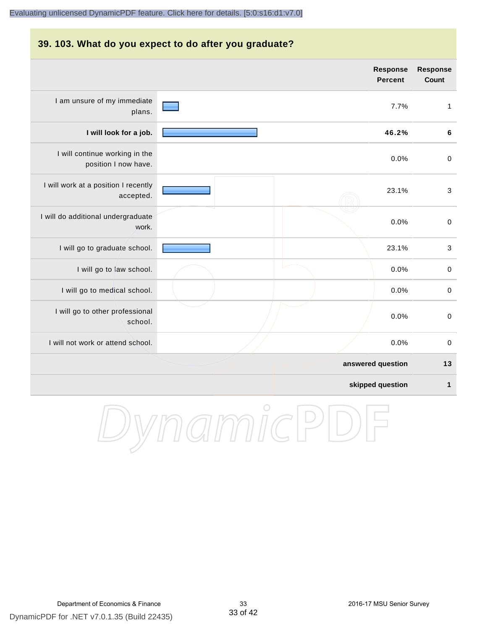## **39. 103. What do you expect to do after you graduate? answered question 13 skipped question 1 Response Percent Response Count** I am unsure of my immediate plans. 7.7% 1 **I will look for a job. 46.2% 6** I will continue working in the position I now have. 0.0% 0 I will work at a position I recently accepted. 23.1% 3 I will do additional undergraduate work. 0.0% 0 I will go to graduate school. **23.1%** 3 I will go to law school.  $\sim$  0.0% 0 I will go to medical school.  $\qquad \qquad \qquad$  0.0% 0 I will go to other professional school. 0.0% 0 I will not work or attend school. 0.0% 0

DynamicPD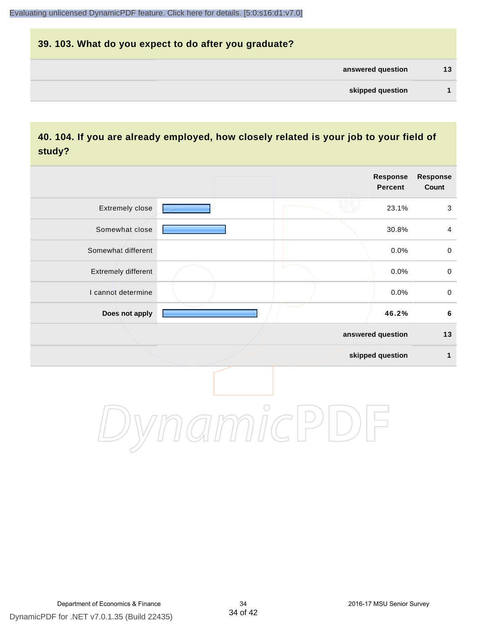# **39. 103. What do you expect to do after you graduate? answered question 13 skipped question 1**

#### **40. 104. If you are already employed, how closely related is your job to your field of study?**

|                     |            | <b>Response</b><br><b>Percent</b> | <b>Response</b><br>Count |
|---------------------|------------|-----------------------------------|--------------------------|
| Extremely close     |            | 23.1%                             | $\mathbf{3}$             |
| Somewhat close      |            | 30.8%                             | $\overline{4}$           |
| Somewhat different  |            | 0.0%                              | $\pmb{0}$                |
| Extremely different |            | 0.0%                              | $\pmb{0}$                |
| I cannot determine  |            | 0.0%                              | $\pmb{0}$                |
| Does not apply      |            | 46.2%                             | $\bf 6$                  |
|                     |            | answered question                 | 13                       |
|                     |            | skipped question                  | $\mathbf{1}$             |
|                     | $\bigcirc$ |                                   |                          |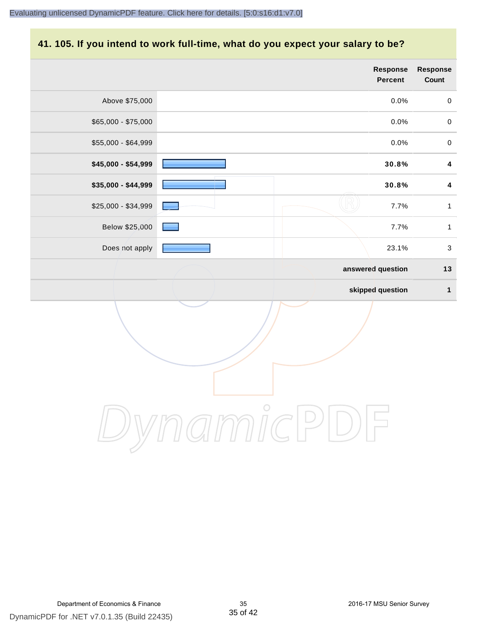# **41. 105. If you intend to work full-time, what do you expect your salary to be?**

|                     |            | <b>Response</b><br>Percent | <b>Response</b><br>Count |
|---------------------|------------|----------------------------|--------------------------|
| Above \$75,000      |            | 0.0%                       | $\pmb{0}$                |
| $$65,000 - $75,000$ |            | 0.0%                       | $\pmb{0}$                |
| \$55,000 - \$64,999 |            | 0.0%                       | $\pmb{0}$                |
| \$45,000 - \$54,999 |            | 30.8%                      | $\overline{\mathbf{4}}$  |
| \$35,000 - \$44,999 |            | 30.8%                      | $\overline{\mathbf{4}}$  |
| \$25,000 - \$34,999 |            | 7.7%                       | $\mathbf{1}$             |
| Below \$25,000      |            | 7.7%                       | $\mathbf{1}$             |
| Does not apply      |            | 23.1%                      | $\mathfrak{S}$           |
|                     |            | answered question          | 13                       |
|                     |            | skipped question           | $\mathbf{1}$             |
|                     | $\bigcirc$ |                            |                          |
|                     |            |                            |                          |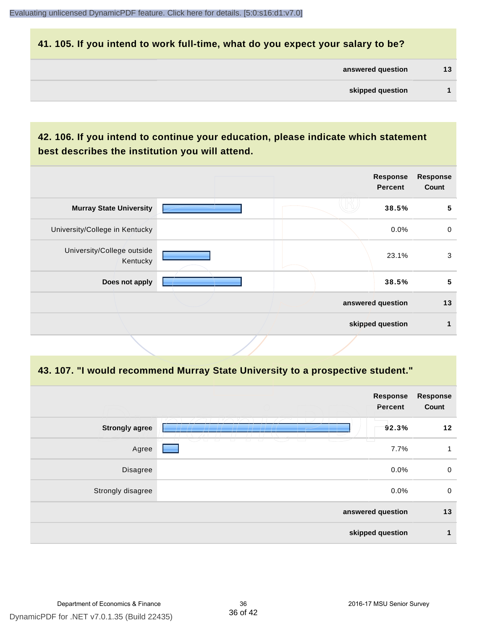#### **41. 105. If you intend to work full-time, what do you expect your salary to be?**

| answered question | 13 |
|-------------------|----|
|                   |    |

#### **42. 106. If you intend to continue your education, please indicate which statement best describes the institution you will attend.**

|                                        |  | <b>Response</b><br><b>Percent</b> | <b>Response</b><br>Count |
|----------------------------------------|--|-----------------------------------|--------------------------|
| <b>Murray State University</b>         |  | 38.5%                             | 5                        |
| University/College in Kentucky         |  | 0.0%                              | $\mathbf 0$              |
| University/College outside<br>Kentucky |  | 23.1%                             | 3                        |
| Does not apply                         |  | 38.5%                             | 5                        |
|                                        |  | answered question                 | 13                       |
|                                        |  | skipped question                  |                          |
|                                        |  |                                   |                          |

#### **43. 107. "I would recommend Murray State University to a prospective student."**

|                       | <b>Response</b><br>Percent | <b>Response</b><br>Count |
|-----------------------|----------------------------|--------------------------|
| <b>Strongly agree</b> | 92.3%                      | 12                       |
| Agree                 | 7.7%                       | 1                        |
| <b>Disagree</b>       | 0.0%                       | $\mathbf 0$              |
| Strongly disagree     | 0.0%                       | $\mathbf 0$              |
|                       | answered question          | 13                       |
|                       | skipped question           | 1                        |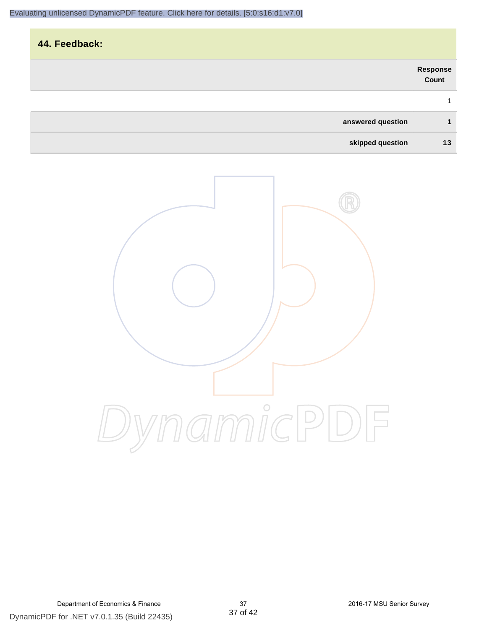# **44. Feedback: answered question 1 Response Count** 1

**skipped question 13**

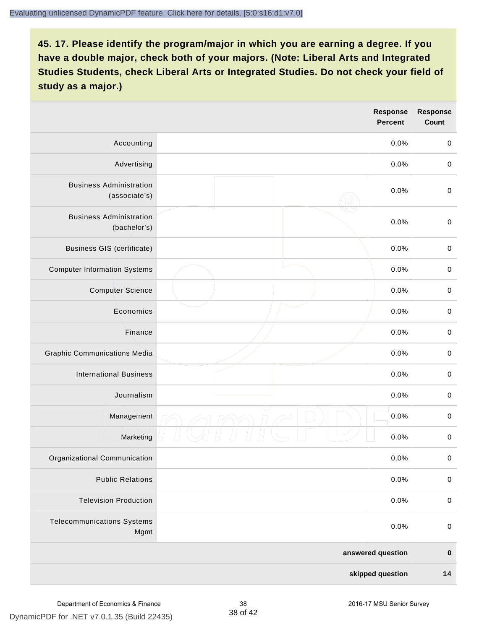|                                                 |  | <b>Response</b><br><b>Percent</b> | <b>Response</b><br>Count |
|-------------------------------------------------|--|-----------------------------------|--------------------------|
| Accounting                                      |  | 0.0%                              | $\mathbf 0$              |
| Advertising                                     |  | 0.0%                              | $\pmb{0}$                |
| <b>Business Administration</b><br>(associate's) |  | 0.0%                              | $\pmb{0}$                |
| <b>Business Administration</b><br>(bachelor's)  |  | 0.0%                              | $\pmb{0}$                |
| <b>Business GIS (certificate)</b>               |  | 0.0%                              | $\mathbf 0$              |
| <b>Computer Information Systems</b>             |  | 0.0%                              | $\pmb{0}$                |
| <b>Computer Science</b>                         |  | 0.0%                              | $\mathbf 0$              |
| Economics                                       |  | 0.0%                              | $\pmb{0}$                |
| Finance                                         |  | 0.0%                              | $\pmb{0}$                |
| <b>Graphic Communications Media</b>             |  | 0.0%                              | $\mathbf 0$              |
| <b>International Business</b>                   |  | 0.0%                              | $\pmb{0}$                |
| Journalism                                      |  | 0.0%                              | $\mathbf 0$              |
| Management                                      |  | 0.0%                              | $\pmb{0}$                |
| Marketing                                       |  | 0.0%                              | $\,0\,$                  |
| Organizational Communication                    |  | 0.0%                              | $\pmb{0}$                |
| <b>Public Relations</b>                         |  | 0.0%                              | $\mathbf 0$              |
| <b>Television Production</b>                    |  | 0.0%                              | $\mathsf 0$              |
| <b>Telecommunications Systems</b><br>Mgmt       |  | 0.0%                              | $\mathbf 0$              |
|                                                 |  | answered question                 | $\pmb{0}$                |
| skipped question                                |  | $14$                              |                          |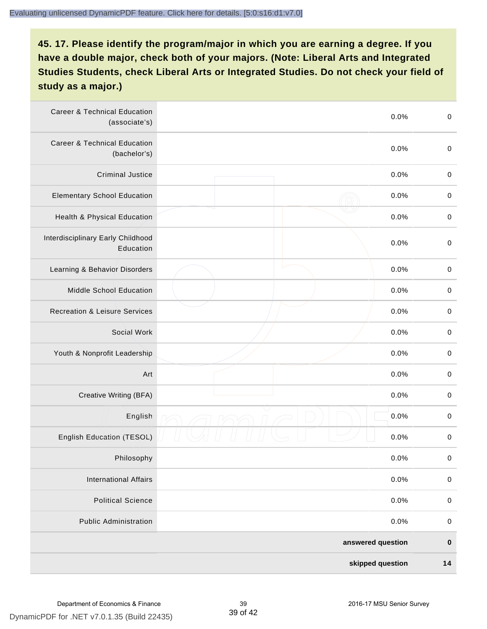| <b>Career &amp; Technical Education</b><br>(associate's) | 0.0%              | $\pmb{0}$   |
|----------------------------------------------------------|-------------------|-------------|
| <b>Career &amp; Technical Education</b><br>(bachelor's)  | 0.0%              | $\mathbf 0$ |
| <b>Criminal Justice</b>                                  | 0.0%              | $\,0\,$     |
| <b>Elementary School Education</b>                       | 0.0%              | $\,0\,$     |
| Health & Physical Education                              | 0.0%              | $\,0\,$     |
| Interdisciplinary Early Childhood<br>Education           | 0.0%              | $\pmb{0}$   |
| Learning & Behavior Disorders                            | 0.0%              | $\,0\,$     |
| Middle School Education                                  | 0.0%              | $\mathbf 0$ |
| <b>Recreation &amp; Leisure Services</b>                 | 0.0%              | $\mathbf 0$ |
| Social Work                                              | 0.0%              | $\mathbf 0$ |
| Youth & Nonprofit Leadership                             | 0.0%              | $\mathbf 0$ |
| Art                                                      | 0.0%              | $\,0\,$     |
| Creative Writing (BFA)                                   | 0.0%              | $\pmb{0}$   |
| English                                                  | 0.0%              | $\pmb{0}$   |
| English Education (TESOL)                                | 0.0%              | $\pmb{0}$   |
| Philosophy                                               | 0.0%              | 0           |
| <b>International Affairs</b>                             | 0.0%              | $\pmb{0}$   |
| <b>Political Science</b>                                 | 0.0%              | $\mathbf 0$ |
| <b>Public Administration</b>                             | 0.0%              | $\mathbf 0$ |
|                                                          | answered question | $\pmb{0}$   |
|                                                          | skipped question  | 14          |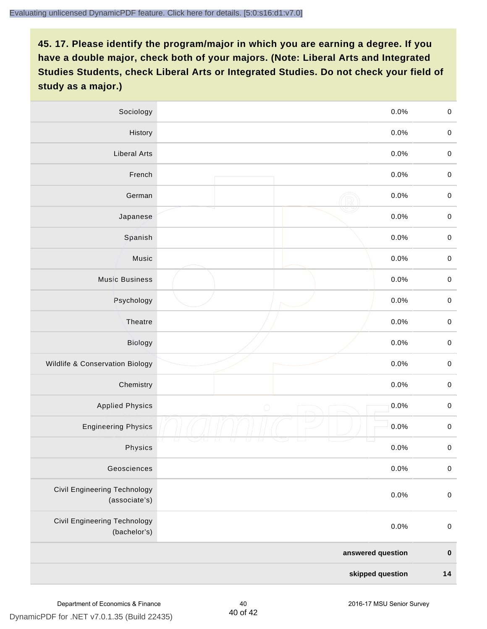| Sociology                                     | 0.0%       |         | $\mathbf 0$ |
|-----------------------------------------------|------------|---------|-------------|
| History                                       |            | $0.0\%$ | $\pmb{0}$   |
| <b>Liberal Arts</b>                           |            | 0.0%    | $\mathbf 0$ |
| French                                        |            | 0.0%    | $\pmb{0}$   |
| German                                        |            | 0.0%    | $\mathbf 0$ |
| Japanese                                      |            | 0.0%    | $\mathbf 0$ |
| Spanish                                       |            | 0.0%    | $\pmb{0}$   |
| Music                                         |            | 0.0%    | $\pmb{0}$   |
| <b>Music Business</b>                         |            | 0.0%    | $\pmb{0}$   |
| Psychology                                    |            | 0.0%    | $\mathbf 0$ |
| Theatre                                       |            | 0.0%    | $\mathbf 0$ |
| Biology                                       |            | 0.0%    | $\mathbf 0$ |
| Wildlife & Conservation Biology               |            | 0.0%    | $\pmb{0}$   |
| Chemistry                                     |            | 0.0%    | $\pmb{0}$   |
| <b>Applied Physics</b>                        | $\bigcirc$ | 0.0%    | $\mathbf 0$ |
| <b>Engineering Physics</b>                    |            | 0.0%    | $\mathbf 0$ |
| Physics                                       |            | 0.0%    | $\mathbf 0$ |
| Geosciences                                   |            | 0.0%    | $\pmb{0}$   |
| Civil Engineering Technology<br>(associate's) |            | 0.0%    | $\pmb{0}$   |
| Civil Engineering Technology<br>(bachelor's)  |            | 0.0%    | $\pmb{0}$   |
| answered question                             |            |         | $\pmb{0}$   |
| skipped question                              |            |         | $14$        |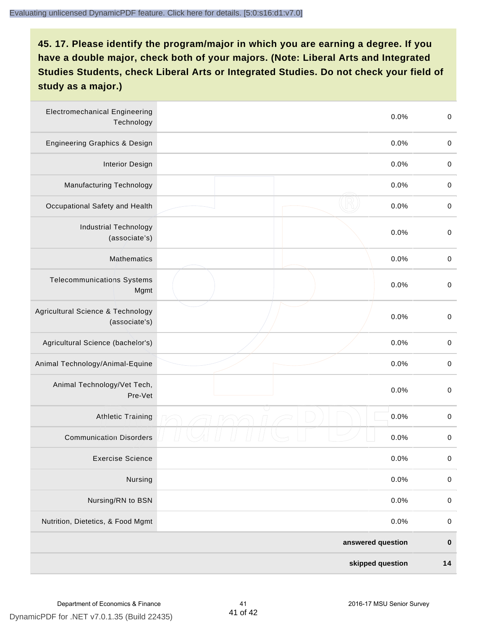| <b>Electromechanical Engineering</b><br>Technology | 0.0%              | $\mathbf 0$ |
|----------------------------------------------------|-------------------|-------------|
| <b>Engineering Graphics &amp; Design</b>           | 0.0%              | $\mathbf 0$ |
| <b>Interior Design</b>                             | 0.0%              | $\,0\,$     |
| Manufacturing Technology                           | 0.0%              | $\,0\,$     |
| Occupational Safety and Health                     | 0.0%              | $\pmb{0}$   |
| <b>Industrial Technology</b><br>(associate's)      | 0.0%              | $\,0\,$     |
| <b>Mathematics</b>                                 | 0.0%              | $\,0\,$     |
| <b>Telecommunications Systems</b><br>Mgmt          | 0.0%              | $\,0\,$     |
| Agricultural Science & Technology<br>(associate's) | 0.0%              | $\mathbf 0$ |
| Agricultural Science (bachelor's)                  | 0.0%              | $\mathbf 0$ |
| Animal Technology/Animal-Equine                    | 0.0%              | $\,0\,$     |
| Animal Technology/Vet Tech,<br>Pre-Vet             | 0.0%              | $\,0\,$     |
| Athletic Training                                  | 0.0%              | $\,0\,$     |
| <b>Communication Disorders</b>                     | 0.0%              | $\,0\,$     |
| <b>Exercise Science</b>                            | 0.0%              | $\pmb{0}$   |
| Nursing                                            | 0.0%              | $\pmb{0}$   |
| Nursing/RN to BSN                                  | 0.0%              | $\pmb{0}$   |
| Nutrition, Dietetics, & Food Mgmt                  | 0.0%              | $\,0\,$     |
|                                                    | answered question | $\pmb{0}$   |
|                                                    | skipped question  | 14          |